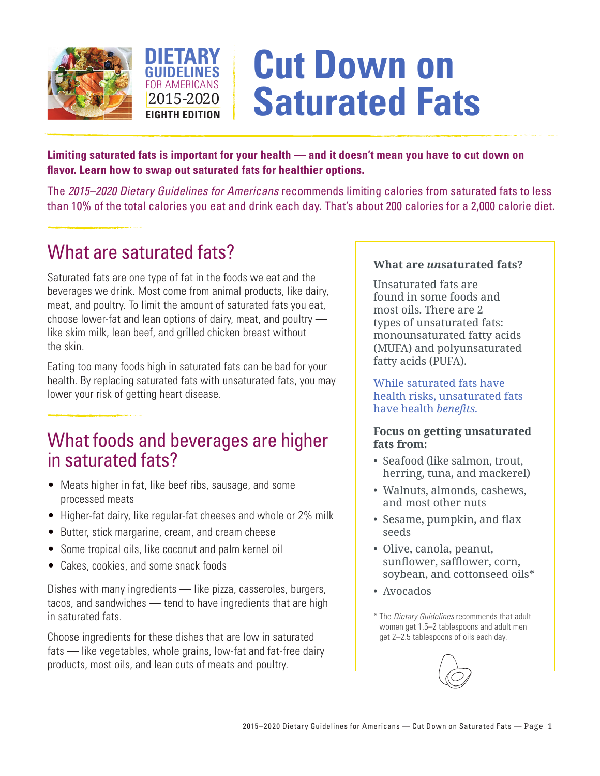



# **Cut Down on Saturated Fats**

**Limiting saturated fats is important for your health — and it doesn't mean you have to cut down on flavor. Learn how to swap out saturated fats for healthier options.**

The *2015–2020 Dietary Guidelines for Americans* recommends limiting calories from saturated fats to less than 10% of the total calories you eat and drink each day. That's about 200 calories for a 2,000 calorie diet.

## What are saturated fats?

Saturated fats are one type of fat in the foods we eat and the beverages we drink. Most come from animal products, like dairy, meat, and poultry. To limit the amount of saturated fats you eat, choose lower-fat and lean options of dairy, meat, and poultry like skim milk, lean beef, and grilled chicken breast without the skin.

Eating too many foods high in saturated fats can be bad for your health. By replacing saturated fats with unsaturated fats, you may lower your risk of getting heart disease.

### What foods and beverages are higher in saturated fats?

- Meats higher in fat, like beef ribs, sausage, and some processed meats
- Higher-fat dairy, like regular-fat cheeses and whole or 2% milk
- Butter, stick margarine, cream, and cream cheese
- Some tropical oils, like coconut and palm kernel oil
- Cakes, cookies, and some snack foods

Dishes with many ingredients — like pizza, casseroles, burgers, tacos, and sandwiches — tend to have ingredients that are high in saturated fats.

Choose ingredients for these dishes that are low in saturated fats — like vegetables, whole grains, low-fat and fat-free dairy products, most oils, and lean cuts of meats and poultry.

#### **What are** *un***saturated fats?**

Unsaturated fats are found in some foods and most oils. There are 2 types of unsaturated fats: monounsaturated fatty acids (MUFA) and polyunsaturated fatty acids (PUFA).

While saturated fats have health risks, unsaturated fats have health *benefits.* 

#### **Focus on getting unsaturated fats from:**

- Seafood (like salmon, trout, herring, tuna, and mackerel)
- Walnuts, almonds, cashews, and most other nuts
- Sesame, pumpkin, and flax seeds
- Olive, canola, peanut, sunflower, safflower, corn, soybean, and cottonseed oils\*
- Avocados
- \* The *Dietary Guidelines* recommends that adult women get 1.5–2 tablespoons and adult men get 2–2.5 tablespoons of oils each day.